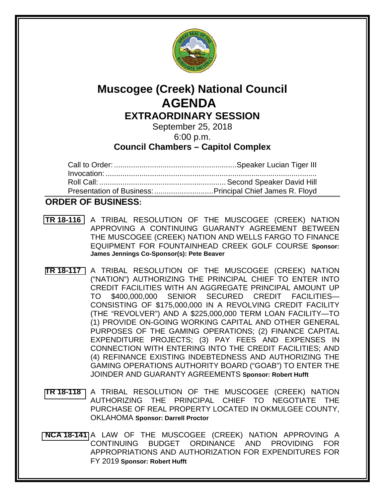

# **Muscogee (Creek) National Council AGENDA**

**EXTRAORDINARY SESSION** September 25, 2018

6:00 p.m.

## **Council Chambers – Capitol Complex**

| Presentation of Business:  Principal Chief James R. Floyd |  |
|-----------------------------------------------------------|--|

### **ORDER OF BUSINESS:**

- **TR [18-116](bills/18-116.pdf)** A TRIBAL RESOLUTION OF THE MUSCOGEE (CREEK) NATION APPROVING A CONTINUING GUARANTY AGREEMENT BETWEEN THE MUSCOGEE (CREEK) NATION AND WELLS FARGO TO FINANCE EQUIPMENT FOR FOUNTAINHEAD CREEK GOLF COURSE **Sponsor: James Jennings Co-Sponsor(s): Pete Beaver**
- **[TR 18-117](bills/18-117.pdf)** A TRIBAL RESOLUTION OF THE MUSCOGEE (CREEK) NATION ("NATION") AUTHORIZING THE PRINCIPAL CHIEF TO ENTER INTO CREDIT FACILITIES WITH AN AGGREGATE PRINCIPAL AMOUNT UP TO \$400,000,000 SENIOR SECURED CREDIT FACILITIES— CONSISTING OF \$175,000,000 IN A REVOLVING CREDIT FACILITY (THE "REVOLVER") AND A \$225,000,000 TERM LOAN FACILITY—TO (1) PROVIDE ON-GOING WORKING CAPITAL AND OTHER GENERAL PURPOSES OF THE GAMING OPERATIONS; (2) FINANCE CAPITAL EXPENDITURE PROJECTS; (3) PAY FEES AND EXPENSES IN CONNECTION WITH ENTERING INTO THE CREDIT FACILITIES; AND (4) REFINANCE EXISTING INDEBTEDNESS AND AUTHORIZING THE GAMING OPERATIONS AUTHORITY BOARD ("GOAB") TO ENTER THE JOINDER AND GUARANTY AGREEMENTS **Sponsor: Robert Hufft**
- **[TR 18-118](bills/18-118.pdf)** A TRIBAL RESOLUTION OF THE MUSCOGEE (CREEK) NATION AUTHORIZING THE PRINCIPAL CHIEF TO NEGOTIATE THE PURCHASE OF REAL PROPERTY LOCATED IN OKMULGEE COUNTY, OKLAHOMA **Sponsor: Darrell Proctor**
- **[NCA 18-141](bills/NCA-18-141.pdf)** A LAW OF THE MUSCOGEE (CREEK) NATION APPROVING A CONTINUING BUDGET ORDINANCE AND PROVIDING FOR APPROPRIATIONS AND AUTHORIZATION FOR EXPENDITURES FOR FY 2019 **Sponsor: Robert Hufft**